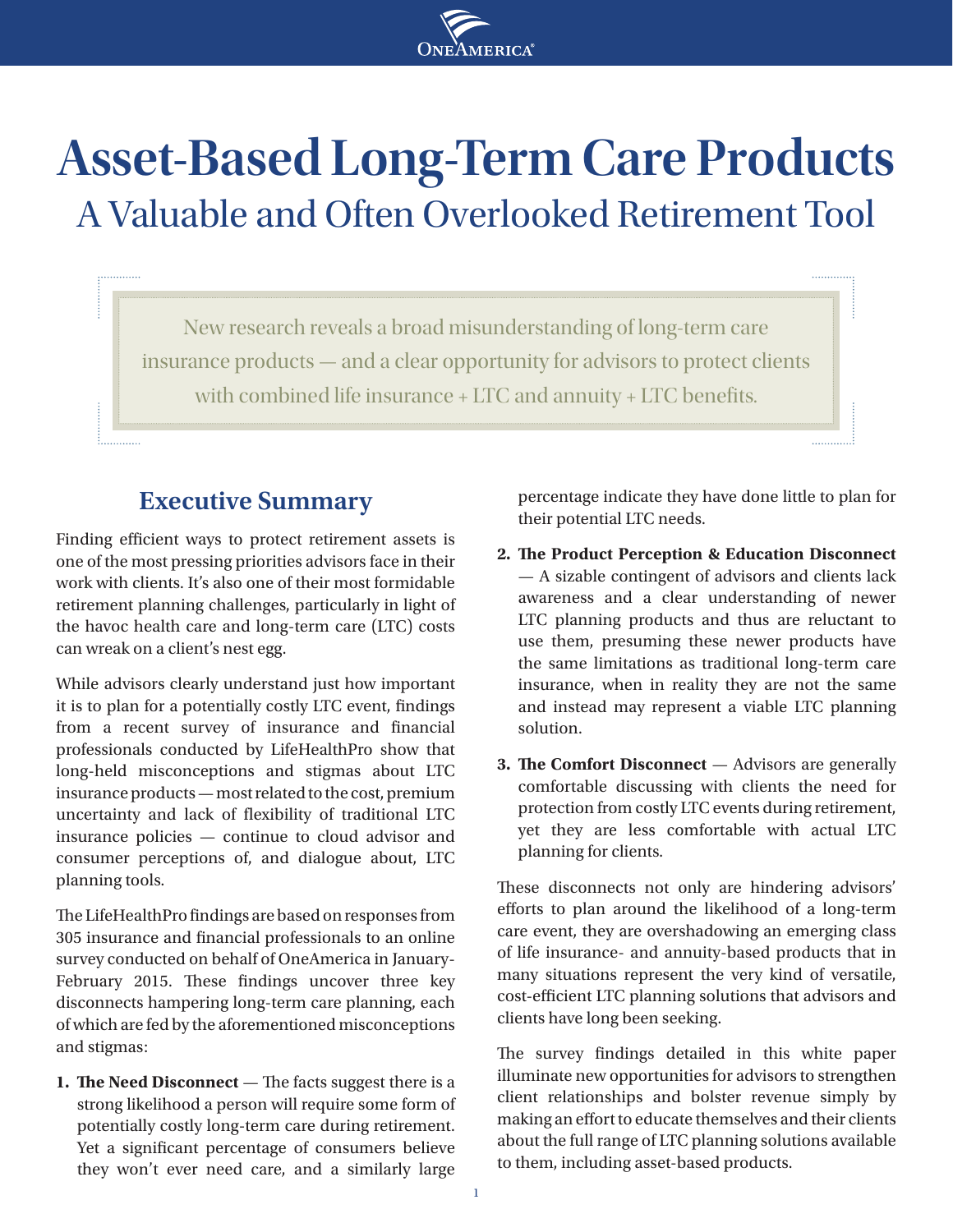

# **Asset-Based Long-Term Care Products** A Valuable and Often Overlooked Retirement Tool

New research reveals a broad misunderstanding of long-term care insurance products — and a clear opportunity for advisors to protect clients with combined life insurance + LTC and annuity + LTC benefits.

### **Executive Summary**

Finding efficient ways to protect retirement assets is one of the most pressing priorities advisors face in their work with clients. It's also one of their most formidable retirement planning challenges, particularly in light of the havoc health care and long-term care (LTC) costs can wreak on a client's nest egg.

While advisors clearly understand just how important it is to plan for a potentially costly LTC event, findings from a recent survey of insurance and financial professionals conducted by LifeHealthPro show that long-held misconceptions and stigmas about LTC insurance products — most related to the cost, premium uncertainty and lack of flexibility of traditional LTC insurance policies — continue to cloud advisor and consumer perceptions of, and dialogue about, LTC planning tools.

The LifeHealthPro findings are based on responses from 305 insurance and financial professionals to an online survey conducted on behalf of OneAmerica in January-February 2015. These findings uncover three key disconnects hampering long-term care planning, each of which are fed by the aforementioned misconceptions and stigmas:

**1. The Need Disconnect** — The facts suggest there is a strong likelihood a person will require some form of potentially costly long-term care during retirement. Yet a significant percentage of consumers believe they won't ever need care, and a similarly large percentage indicate they have done little to plan for their potential LTC needs.

- **2. The Product Perception & Education Disconnect** — A sizable contingent of advisors and clients lack awareness and a clear understanding of newer LTC planning products and thus are reluctant to use them, presuming these newer products have the same limitations as traditional long-term care insurance, when in reality they are not the same and instead may represent a viable LTC planning solution.
- **3. The Comfort Disconnect** Advisors are generally comfortable discussing with clients the need for protection from costly LTC events during retirement, yet they are less comfortable with actual LTC planning for clients.

These disconnects not only are hindering advisors' efforts to plan around the likelihood of a long-term care event, they are overshadowing an emerging class of life insurance- and annuity-based products that in many situations represent the very kind of versatile, cost-efficient LTC planning solutions that advisors and clients have long been seeking.

The survey findings detailed in this white paper illuminate new opportunities for advisors to strengthen client relationships and bolster revenue simply by making an effort to educate themselves and their clients about the full range of LTC planning solutions available to them, including asset-based products.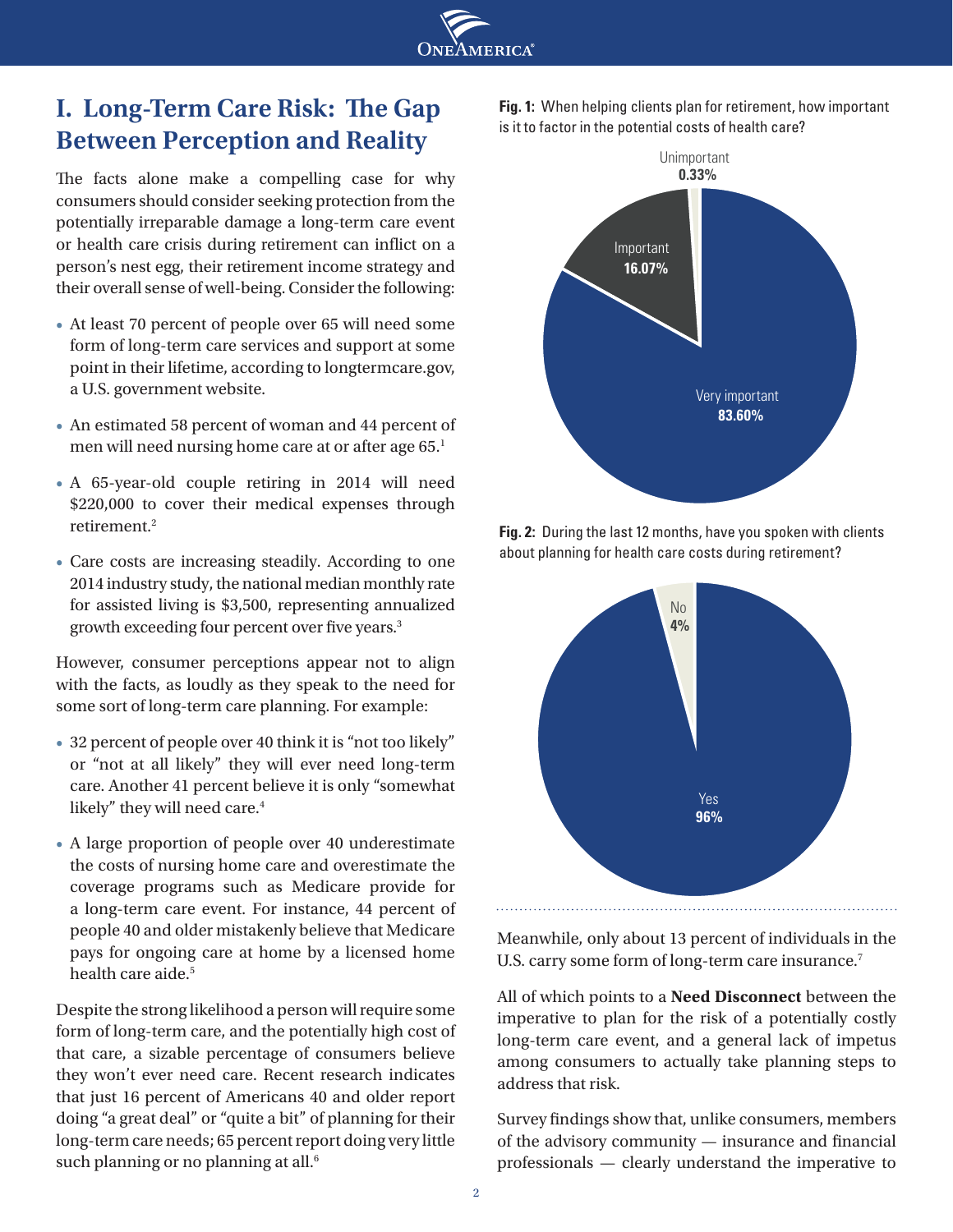

## **I. Long-Term Care Risk: The Gap Between Perception and Reality**

The facts alone make a compelling case for why consumers should consider seeking protection from the potentially irreparable damage a long-term care event or health care crisis during retirement can inflict on a person's nest egg, their retirement income strategy and their overall sense of well-being. Consider the following:

- At least 70 percent of people over 65 will need some form of long-term care services and support at some point in their lifetime, according to longtermcare.gov, a U.S. government website.
- An estimated 58 percent of woman and 44 percent of men will need nursing home care at or after age 65.<sup>1</sup>
- A 65-year-old couple retiring in 2014 will need \$220,000 to cover their medical expenses through retirement.2
- Care costs are increasing steadily. According to one 2014 industry study, the national median monthly rate for assisted living is \$3,500, representing annualized growth exceeding four percent over five years.<sup>3</sup>

However, consumer perceptions appear not to align with the facts, as loudly as they speak to the need for some sort of long-term care planning. For example:

- 32 percent of people over 40 think it is "not too likely" or "not at all likely" they will ever need long-term care. Another 41 percent believe it is only "somewhat likely" they will need care.<sup>4</sup>
- A large proportion of people over 40 underestimate the costs of nursing home care and overestimate the coverage programs such as Medicare provide for a long-term care event. For instance, 44 percent of people 40 and older mistakenly believe that Medicare pays for ongoing care at home by a licensed home health care aide.<sup>5</sup>

Despite the strong likelihood a person will require some form of long-term care, and the potentially high cost of that care, a sizable percentage of consumers believe they won't ever need care. Recent research indicates that just 16 percent of Americans 40 and older report doing "a great deal" or "quite a bit" of planning for their long-term care needs; 65 percent report doing very little such planning or no planning at all.<sup>6</sup>

Fig. 1: When helping clients plan for retirement, how important is it to factor in the potential costs of health care? **0.33%**



**Fig. 2:** During the last 12 months, have you spoken with clients about planning for health care costs during retirement?



Meanwhile, only about 13 percent of individuals in the U.S. carry some form of long-term care insurance.<sup>7</sup>

All of which points to a Need Disconnect between the imperative to plan for the risk of a potentially costly long-term care event, and a general lack of impetus among consumers to actually take planning steps to anion<sub>g</sub> consumers<br>address that risk. **72%**

Survey findings show that, unlike consumers, members **72% 64%** of the advisory community  $-$  insurance and financial professionals — clearly understand the imperative to **64%**  $\frac{1}{2}$   $\frac{1}{2}$   $\frac{1}{2}$   $\frac{1}{2}$   $\frac{1}{2}$   $\frac{1}{2}$   $\frac{1}{2}$ **53%**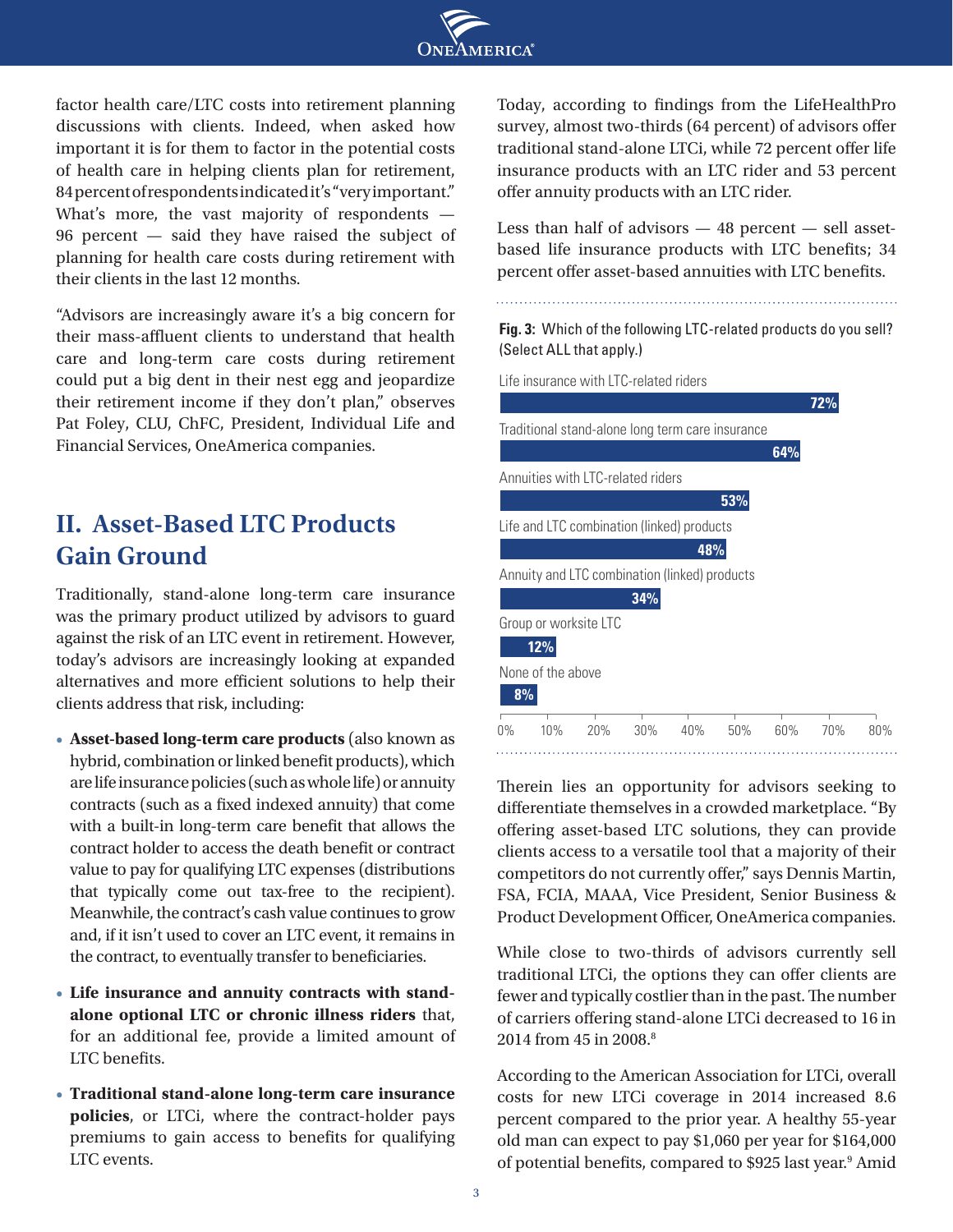

factor health care/LTC costs into retirement planning discussions with clients. Indeed, when asked how important it is for them to factor in the potential costs of health care in helping clients plan for retirement, 84 percent of respondents indicated it's "very important." What's more, the vast majority of respondents — 96 percent — said they have raised the subject of planning for health care costs during retirement with their clients in the last 12 months.

"Advisors are increasingly aware it's a big concern for their mass-affluent clients to understand that health care and long-term care costs during retirement could put a big dent in their nest egg and jeopardize their retirement income if they don't plan," observes Pat Foley, CLU, ChFC, President, Individual Life and Financial Services, OneAmerica companies.

## **II. Asset-Based LTC Products Gain Ground**

Traditionally, stand-alone long-term care insurance was the primary product utilized by advisors to guard against the risk of an LTC event in retirement. However, today's advisors are increasingly looking at expanded alternatives and more efficient solutions to help their clients address that risk, including:

- **Asset-based long-term care products** (also known as hybrid, combination or linked benefit products), which are life insurance policies (such as whole life) or annuity contracts (such as a fixed indexed annuity) that come with a built-in long-term care benefit that allows the contract holder to access the death benefit or contract value to pay for qualifying LTC expenses (distributions that typically come out tax-free to the recipient). Meanwhile, the contract's cash value continues to grow and, if it isn't used to cover an LTC event, it remains in the contract, to eventually transfer to beneficiaries.
- **Life insurance and annuity contracts with standalone optional LTC or chronic illness riders** that, for an additional fee, provide a limited amount of LTC benefits.
- **Traditional stand-alone long-term care insurance policies**, or LTCi, where the contract-holder pays premiums to gain access to benefits for qualifying LTC events.

Today, according to findings from the LifeHealthPro survey, almost two-thirds (64 percent) of advisors offer traditional stand-alone LTCi, while 72 percent offer life **96%** insurance products with an LTC rider and 53 percent offer annuity products with an LTC rider.

Less than half of advisors — 48 percent — sell assetbased life insurance products with LTC benefits; 34 percent offer asset-based annuities with LTC benefits.

**Fig. 3:** Which of the following LTC-related products do you sell? (Select ALL that apply.)

| Life insurance with LTC-related riders           |            |            |
|--------------------------------------------------|------------|------------|
|                                                  |            | 72%        |
| Traditional stand-alone long term care insurance |            |            |
|                                                  | 64%        |            |
| Annuities with LTC-related riders                |            |            |
|                                                  | 53%        |            |
| Life and LTC combination (linked) products       |            |            |
| 48%                                              |            |            |
| Annuity and LTC combination (linked) products    |            |            |
| 34%                                              |            |            |
| Group or worksite LTC                            |            |            |
| 12%                                              |            |            |
| None of the above                                |            |            |
| 8%                                               |            |            |
| 0%<br>10%<br>30%<br>20%<br>40%                   | 50%<br>60% | 70%<br>80% |

Therein lies an opportunity for advisors seeking to differentiate themselves in a crowded marketplace. "By offering asset-based LTC solutions, they can provide clients access to a versatile tool that a majority of their competitors do not currently offer," says Dennis Martin, FSA, FCIA, MAAA, Vice President, Senior Business & **74%** Product Development Officer, OneAmerica companies.

While close to two-thirds of advisors currently sell **66%** traditional LTCi, the options they can offer clients are fewer and typically costlier than in the past. The number **55%** of carriers offering stand-alone LTCi decreased to 16 in 2014 from 45 in 2008.8 **38%**

According to the American Association for LTCi, overall costs for new LTCi coverage in 2014 increased 8.6 percent compared to the prior year. A healthy 55-year old man can expect to pay \$1,060 per year for \$164,000 of potential benefits, compared to \$925 last year.<sup>9</sup> Amid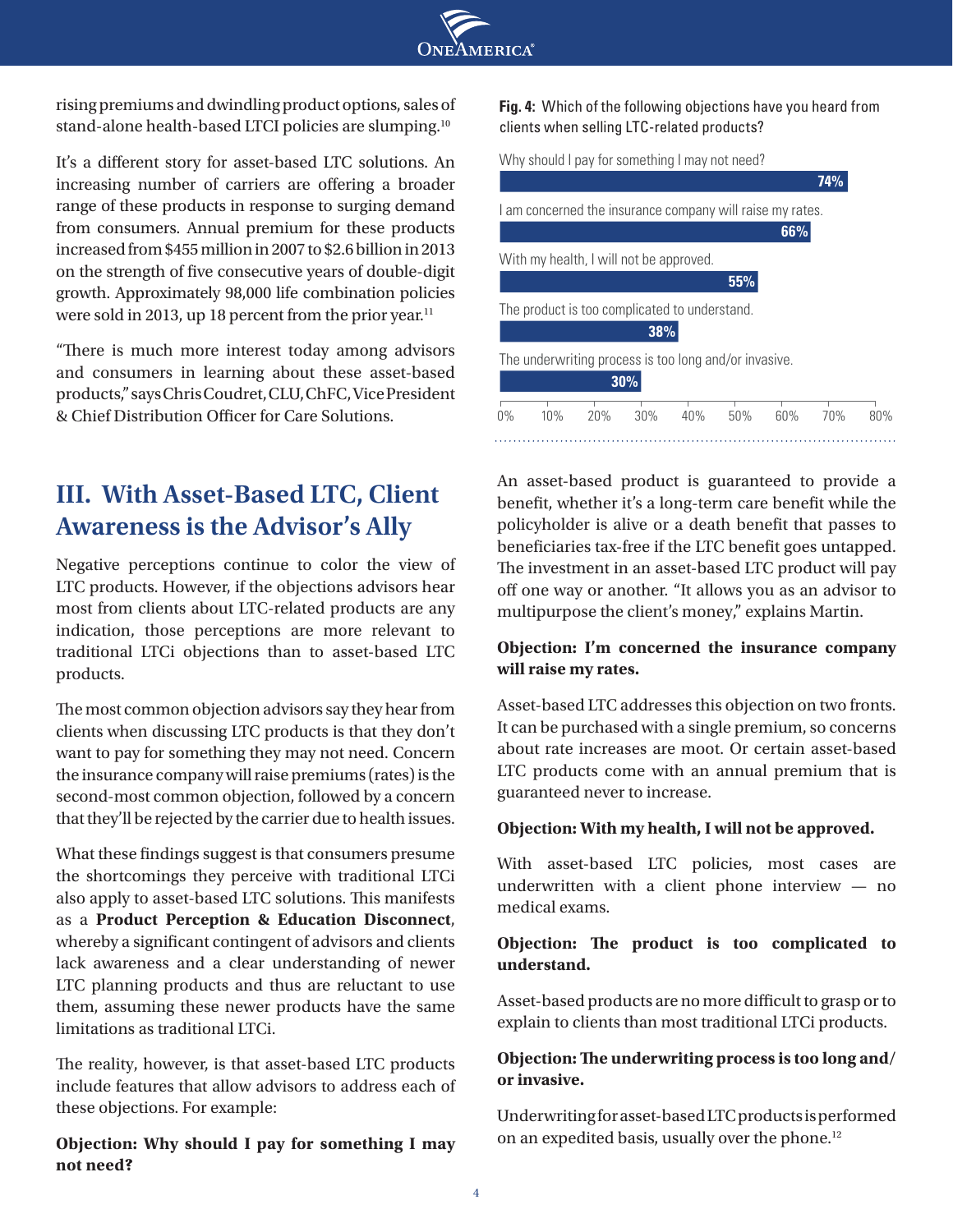

rising premiums and dwindling product options, sales of stand-alone health-based LTCI policies are slumping.<sup>10</sup>

It's a different story for asset-based LTC solutions. An increasing number of carriers are offering a broader range of these products in response to surging demand from consumers. Annual premium for these products increased from \$455 million in 2007 to \$2.6 billion in 2013 on the strength of five consecutive years of double-digit growth. Approximately 98,000 life combination policies were sold in 2013, up 18 percent from the prior year.<sup>11</sup>

"There is much more interest today among advisors and consumers in learning about these asset-based products," says Chris Coudret, CLU, ChFC, Vice President & Chief Distribution Officer for Care Solutions.

## **III. With Asset-Based LTC, Client Awareness is the Advisor's Ally**

Negative perceptions continue to color the view of LTC products. However, if the objections advisors hear most from clients about LTC-related products are any indication, those perceptions are more relevant to traditional LTCi objections than to asset-based LTC products.

The most common objection advisors say they hear from clients when discussing LTC products is that they don't want to pay for something they may not need. Concern the insurance company will raise premiums (rates) is the second-most common objection, followed by a concern that they'll be rejected by the carrier due to health issues.

What these findings suggest is that consumers presume the shortcomings they perceive with traditional LTCi also apply to asset-based LTC solutions. This manifests as a **Product Perception & Education Disconnect**, whereby a significant contingent of advisors and clients lack awareness and a clear understanding of newer LTC planning products and thus are reluctant to use them, assuming these newer products have the same limitations as traditional LTCi.

The reality, however, is that asset-based LTC products include features that allow advisors to address each of these objections. For example:

**Objection: Why should I pay for something I may not need?**

**Fig. 4:** Which of the following objections have you heard from clients when selling LTC-related products?

| Why should I pay for something I may not need?            |     |
|-----------------------------------------------------------|-----|
| 74%                                                       |     |
| I am concerned the insurance company will raise my rates. |     |
| 66%                                                       |     |
| With my health, I will not be approved.                   |     |
| 55%                                                       |     |
| The product is too complicated to understand.             |     |
| 38%                                                       |     |
| The underwriting process is too long and/or invasive.     |     |
| 30%                                                       |     |
| 0%<br>50%<br>10%<br>20%<br>30%<br>40%<br>60%<br>70%       | 80% |

An asset-based product is guaranteed to provide a benefit, whether it's a long-term care benefit while the policyholder is alive or a death benefit that passes to beneficiaries tax-free if the LTC benefit goes untapped. The investment in an asset-based LTC product will pay off one way or another. "It allows you as an advisor to multipurpose the client's money," explains Martin. **9.43%** forted.

#### **Objection: I'm concerned the insurance company will raise my rates.**

Asset-based LTC addresses this objection on two fronts. It can be purchased with a single premium, so concerns **50.17%** about rate increases are moot. Or certain asset-based **40.40%** LTC products come with an annual premium that is guaranteed never to increase.  $\frac{1}{1}$   $\frac{1}{1}$ fichased

#### **Objection: With my health, I will not be approved.**

With asset-based LTC policies, most cases are underwritten with a client phone interview — no medical exams.

#### Objection: The product is too complicated to understand.

Asset-based products are no more difficult to grasp or to explain to clients than most traditional LTCi products.

#### **Objection: The underwriting process is too long and/ 72% or invasive.**  $\mathbf{P}$

Underwriting for asset-based LTC products is performed **72%** on an expedited basis, usually over the phone. $^{12}$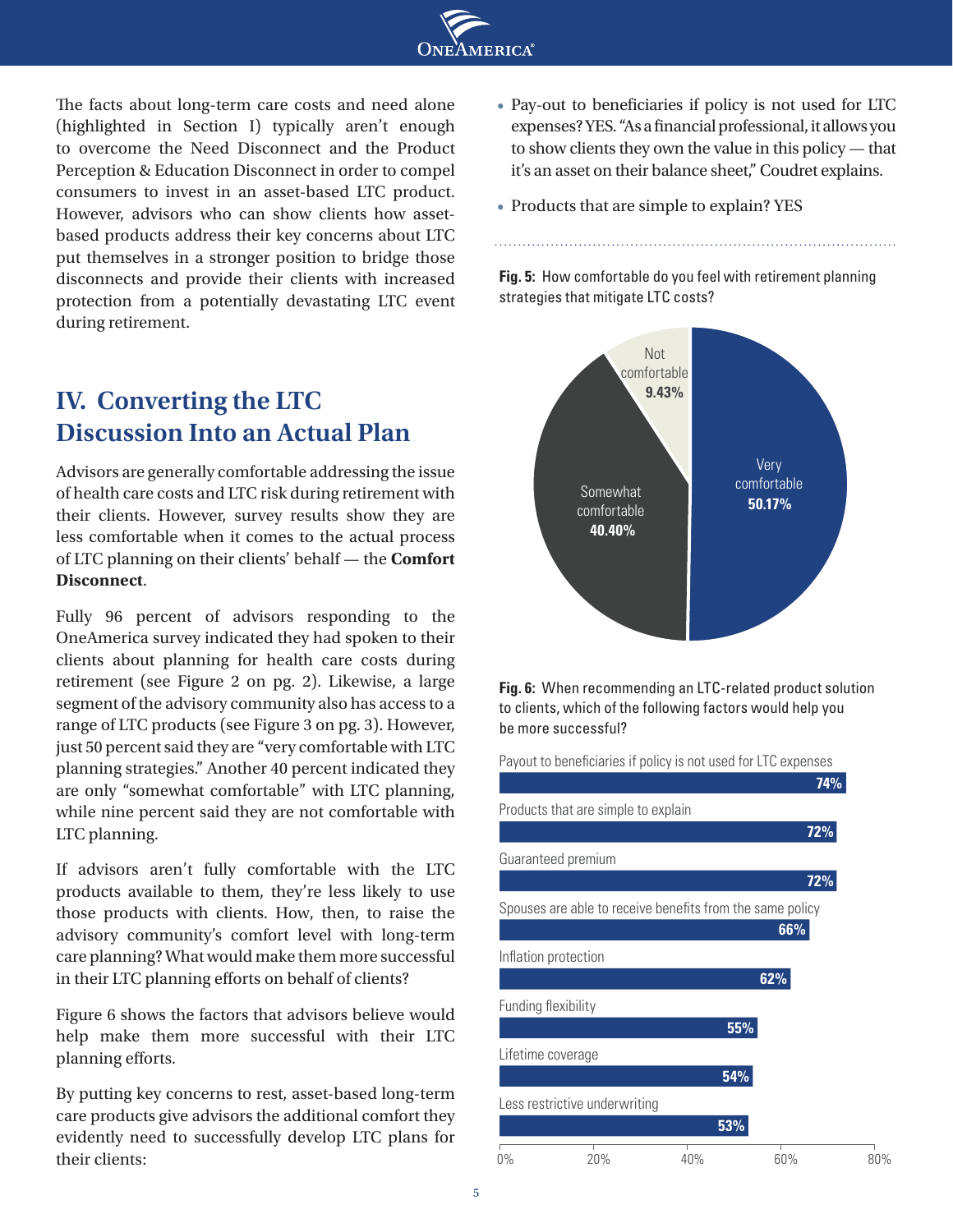

The facts about long-term care costs and need alone (highlighted in Section I) typically aren't enough to overcome the Need Disconnect and the Product Perception & Education Disconnect in order to compel consumers to invest in an asset-based LTC product. However, advisors who can show clients how assetbased products address their key concerns about LTC put themselves in a stronger position to bridge those disconnects and provide their clients with increased protection from a potentially devastating LTC event during retirement.

## **IV. Converting the LTC Discussion Into an Actual Plan**

Advisors are generally comfortable addressing the issue of health care costs and LTC risk during retirement with their clients. However, survey results show they are less comfortable when it comes to the actual process of LTC planning on their clients' behalf — the **Comfort Disconnect**.

Fully 96 percent of advisors responding to the OneAmerica survey indicated they had spoken to their clients about planning for health care costs during retirement (see Figure 2 on pg. 2). Likewise, a large segment of the advisory community also has access to a range of LTC products (see Figure 3 on pg. 3). However, just 50 percent said they are "very comfortable with LTC planning strategies." Another 40 percent indicated they are only "somewhat comfortable" with LTC planning, while nine percent said they are not comfortable with LTC planning.

If advisors aren't fully comfortable with the LTC products available to them, they're less likely to use those products with clients. How, then, to raise the advisory community's comfort level with long-term care planning? What would make them more successful in their LTC planning efforts on behalf of clients?

Figure 6 shows the factors that advisors believe would help make them more successful with their LTC planning efforts.

By putting key concerns to rest, asset-based long-term care products give advisors the additional comfort they evidently need to successfully develop LTC plans for their clients:

- Pay-out to beneficiaries if policy is not used for LTC **38% 38%** expenses? YES. "As a financial professional, it allows you to show clients they own the value in this policy — that **30% 30%** it's an asset on their balance sheet," Coudret explains.
- Products that are simple to explain? YES 0% 10% 20% 30% 40% 50% 60% 70% 80%

**Fig. 5:** How comfortable do you feel with retirement planning **Fig. 5:** How comfortable do you feel with retirement planning strategies that mitigate LTC costs? strategies that mitigate LTC costs?



**Fig. 6:** When recommending an LTC-related product solution to clients, which of the following factors would help you to clients, which of the following factors would help you be more successful? **Fig. 6:** When recommending an LTC-related product solution